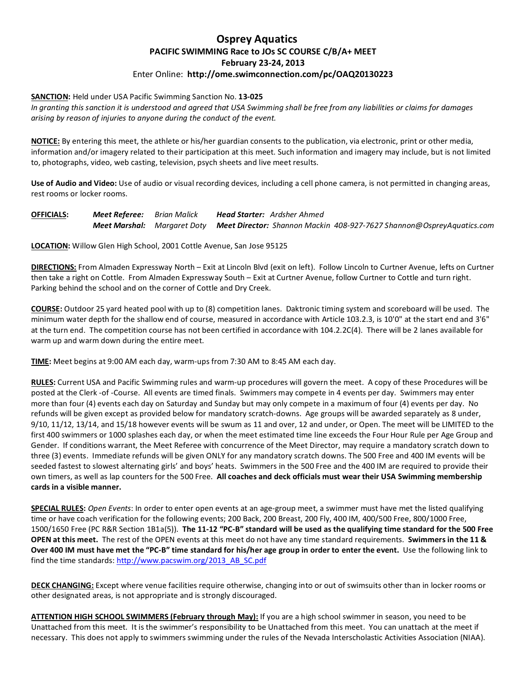## **Osprey Aquatics PACIFIC SWIMMING Race to JOs SC COURSE C/B/A+ MEET February 23-24, 2013** Enter Online: **http://ome.swimconnection.com/pc/OAQ20130223**

## **SANCTION:** Held under USA Pacific Swimming Sanction No. **13-025**

*In granting this sanction it is understood and agreed that USA Swimming shall be free from any liabilities or claims for damages arising by reason of injuries to anyone during the conduct of the event.*

**NOTICE:** By entering this meet, the athlete or his/her guardian consents to the publication, via electronic, print or other media, information and/or imagery related to their participation at this meet. Such information and imagery may include, but is not limited to, photographs, video, web casting, television, psych sheets and live meet results.

**Use of Audio and Video:** Use of audio or visual recording devices, including a cell phone camera, is not permitted in changing areas, rest rooms or locker rooms.

**OFFICIALS:** *Meet Referee: Brian Malick Head Starter: Ardsher Ahmed Meet Marshal: Margaret Doty Meet Director: Shannon Mackin 408-927-7627 Shannon@OspreyAquatics.com*

**LOCATION:** Willow Glen High School, 2001 Cottle Avenue, San Jose 95125

**DIRECTIONS:** From Almaden Expressway North – Exit at Lincoln Blvd (exit on left). Follow Lincoln to Curtner Avenue, lefts on Curtner then take a right on Cottle. From Almaden Expressway South – Exit at Curtner Avenue, follow Curtner to Cottle and turn right. Parking behind the school and on the corner of Cottle and Dry Creek.

**COURSE:** Outdoor 25 yard heated pool with up to (8) competition lanes. Daktronic timing system and scoreboard will be used. The minimum water depth for the shallow end of course, measured in accordance with Article 103.2.3, is 10'0" at the start end and 3'6" at the turn end. The competition course has not been certified in accordance with 104.2.2C(4). There will be 2 lanes available for warm up and warm down during the entire meet.

**TIME:** Meet begins at 9:00 AM each day, warm-ups from 7:30 AM to 8:45 AM each day.

**RULES:** Current USA and Pacific Swimming rules and warm-up procedures will govern the meet. A copy of these Procedures will be posted at the Clerk -of -Course. All events are timed finals. Swimmers may compete in 4 events per day. Swimmers may enter more than four (4) events each day on Saturday and Sunday but may only compete in a maximum of four (4) events per day. No refunds will be given except as provided below for mandatory scratch-downs. Age groups will be awarded separately as 8 under, 9/10, 11/12, 13/14, and 15/18 however events will be swum as 11 and over, 12 and under, or Open. The meet will be LIMITED to the first 400 swimmers or 1000 splashes each day, or when the meet estimated time line exceeds the Four Hour Rule per Age Group and Gender. If conditions warrant, the Meet Referee with concurrence of the Meet Director, may require a mandatory scratch down to three (3) events. Immediate refunds will be given ONLY for any mandatory scratch downs. The 500 Free and 400 IM events will be seeded fastest to slowest alternating girls' and boys' heats. Swimmers in the 500 Free and the 400 IM are required to provide their own timers, as well as lap counters for the 500 Free. **All coaches and deck officials must wear their USA Swimming membership cards in a visible manner.** 

**SPECIAL RULES:** *Open Events*: In order to enter open events at an age-group meet, a swimmer must have met the listed qualifying time or have coach verification for the following events; 200 Back, 200 Breast, 200 Fly, 400 IM, 400/500 Free, 800/1000 Free, 1500/1650 Free (PC R&R Section 1B1a(5)). **The 11-12 "PC-B" standard will be used as the qualifying time standard for the 500 Free OPEN at this meet.** The rest of the OPEN events at this meet do not have any time standard requirements. **Swimmers in the 11 & Over 400 IM must have met the "PC-B" time standard for his/her age group in order to enter the event.** Use the following link to find the time standards: [http://www.pacswim.org/2013\\_AB\\_SC.pdf](http://www.pacswim.org/2013_AB_SC.pdf)

**DECK CHANGING:** Except where venue facilities require otherwise, changing into or out of swimsuits other than in locker rooms or other designated areas, is not appropriate and is strongly discouraged.

**ATTENTION HIGH SCHOOL SWIMMERS (February through May):** If you are a high school swimmer in season, you need to be Unattached from this meet. It is the swimmer's responsibility to be Unattached from this meet. You can unattach at the meet if necessary. This does not apply to swimmers swimming under the rules of the Nevada Interscholastic Activities Association (NIAA).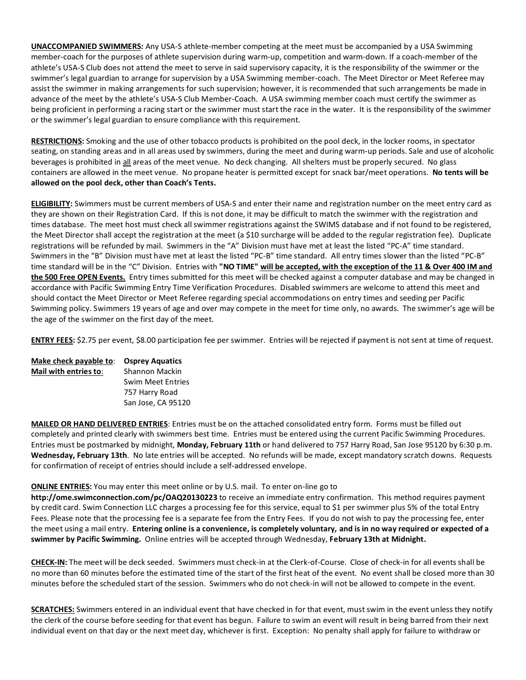**UNACCOMPANIED SWIMMERS:** Any USA-S athlete-member competing at the meet must be accompanied by a USA Swimming member-coach for the purposes of athlete supervision during warm-up, competition and warm-down. If a coach-member of the athlete's USA-S Club does not attend the meet to serve in said supervisory capacity, it is the responsibility of the swimmer or the swimmer's legal guardian to arrange for supervision by a USA Swimming member-coach. The Meet Director or Meet Referee may assist the swimmer in making arrangements for such supervision; however, it is recommended that such arrangements be made in advance of the meet by the athlete's USA-S Club Member-Coach. A USA swimming member coach must certify the swimmer as being proficient in performing a racing start or the swimmer must start the race in the water. It is the responsibility of the swimmer or the swimmer's legal guardian to ensure compliance with this requirement.

**RESTRICTIONS:** Smoking and the use of other tobacco products is prohibited on the pool deck, in the locker rooms, in spectator seating, on standing areas and in all areas used by swimmers, during the meet and during warm-up periods. Sale and use of alcoholic beverages is prohibited in all areas of the meet venue. No deck changing. All shelters must be properly secured. No glass containers are allowed in the meet venue. No propane heater is permitted except for snack bar/meet operations. **No tents will be allowed on the pool deck, other than Coach's Tents.**

**ELIGIBILITY:** Swimmers must be current members of USA-S and enter their name and registration number on the meet entry card as they are shown on their Registration Card. If this is not done, it may be difficult to match the swimmer with the registration and times database. The meet host must check all swimmer registrations against the SWIMS database and if not found to be registered, the Meet Director shall accept the registration at the meet (a \$10 surcharge will be added to the regular registration fee). Duplicate registrations will be refunded by mail. Swimmers in the "A" Division must have met at least the listed "PC-A" time standard. Swimmers in the "B" Division must have met at least the listed "PC-B" time standard. All entry times slower than the listed "PC-B" time standard will be in the "C" Division. Entries with **"NO TIME" will be accepted, with the exception of the 11 & Over 400 IM and the 500 Free OPEN Events.** Entry times submitted for this meet will be checked against a computer database and may be changed in accordance with Pacific Swimming Entry Time Verification Procedures. Disabled swimmers are welcome to attend this meet and should contact the Meet Director or Meet Referee regarding special accommodations on entry times and seeding per Pacific Swimming policy. Swimmers 19 years of age and over may compete in the meet for time only, no awards. The swimmer's age will be the age of the swimmer on the first day of the meet.

**ENTRY FEES:** \$2.75 per event, \$8.00 participation fee per swimmer. Entries will be rejected if payment is not sent at time of request.

| Make check payable to: | <b>Osprey Aquatics</b>   |
|------------------------|--------------------------|
| Mail with entries to:  | <b>Shannon Mackin</b>    |
|                        | <b>Swim Meet Entries</b> |
|                        | 757 Harry Road           |
|                        | San Jose, CA 95120       |

**MAILED OR HAND DELIVERED ENTRIES**: Entries must be on the attached consolidated entry form. Forms must be filled out completely and printed clearly with swimmers best time. Entries must be entered using the current Pacific Swimming Procedures. Entries must be postmarked by midnight, **Monday, February 11th** or hand delivered to 757 Harry Road, San Jose 95120 by 6:30 p.m. **Wednesday, February 13th**. No late entries will be accepted. No refunds will be made, except mandatory scratch downs. Requests for confirmation of receipt of entries should include a self-addressed envelope.

## **ONLINE ENTRIES:** You may enter this meet online or by U.S. mail. To enter on-line go to

**http://ome.swimconnection.com/pc/OAQ20130223** to receive an immediate entry confirmation. This method requires payment by credit card. Swim Connection LLC charges a processing fee for this service, equal to \$1 per swimmer plus 5% of the total Entry Fees. Please note that the processing fee is a separate fee from the Entry Fees. If you do not wish to pay the processing fee, enter the meet using a mail entry. **Entering online is a convenience, is completely voluntary, and is in no way required or expected of a swimmer by Pacific Swimming.** Online entries will be accepted through Wednesday, **February 13th at Midnight.**

**CHECK-IN:** The meet will be deck seeded. Swimmers must check-in at the Clerk-of-Course. Close of check-in for all events shall be no more than 60 minutes before the estimated time of the start of the first heat of the event. No event shall be closed more than 30 minutes before the scheduled start of the session. Swimmers who do not check-in will not be allowed to compete in the event.

**SCRATCHES:** Swimmers entered in an individual event that have checked in for that event, must swim in the event unless they notify the clerk of the course before seeding for that event has begun. Failure to swim an event will result in being barred from their next individual event on that day or the next meet day, whichever is first. Exception: No penalty shall apply for failure to withdraw or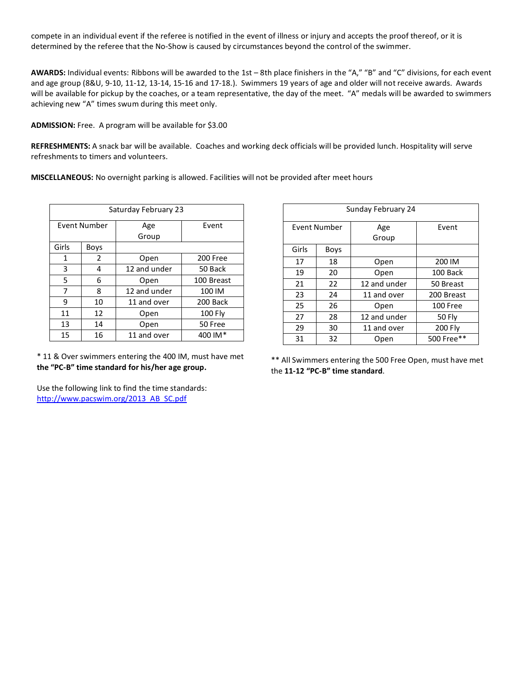compete in an individual event if the referee is notified in the event of illness or injury and accepts the proof thereof, or it is determined by the referee that the No-Show is caused by circumstances beyond the control of the swimmer.

**AWARDS:** Individual events: Ribbons will be awarded to the 1st – 8th place finishers in the "A," "B" and "C" divisions, for each event and age group (8&U, 9-10, 11-12, 13-14, 15-16 and 17-18.). Swimmers 19 years of age and older will not receive awards. Awards will be available for pickup by the coaches, or a team representative, the day of the meet. "A" medals will be awarded to swimmers achieving new "A" times swum during this meet only.

**ADMISSION:** Free. A program will be available for \$3.00

**REFRESHMENTS:** A snack bar will be available. Coaches and working deck officials will be provided lunch. Hospitality will serve refreshments to timers and volunteers.

**MISCELLANEOUS:** No overnight parking is allowed. Facilities will not be provided after meet hours

| Saturday February 23 |      |              |            |  |  |  |  |
|----------------------|------|--------------|------------|--|--|--|--|
| Event Number         |      | Age          | Event      |  |  |  |  |
|                      |      | Group        |            |  |  |  |  |
| Girls                | Boys |              |            |  |  |  |  |
| 1                    | 2    | Open         | 200 Free   |  |  |  |  |
| 3                    | 4    | 12 and under | 50 Back    |  |  |  |  |
| 5                    | 6    | Open         | 100 Breast |  |  |  |  |
| 7                    | 8    | 12 and under | 100 IM     |  |  |  |  |
| 9                    | 10   | 11 and over  | 200 Back   |  |  |  |  |
| 11                   | 12   | Open         | 100 Fly    |  |  |  |  |
| 13                   | 14   | Open         | 50 Free    |  |  |  |  |
| 15                   | 16   | 11 and over  | 400 IM*    |  |  |  |  |

| Sunday February 24 |             |              |            |  |  |  |  |
|--------------------|-------------|--------------|------------|--|--|--|--|
| Event Number       |             | Age          | Event      |  |  |  |  |
|                    |             | Group        |            |  |  |  |  |
| Girls              | <b>Boys</b> |              |            |  |  |  |  |
| 17                 | 18          | Open         | 200 IM     |  |  |  |  |
| 19                 | 20          | Open         | 100 Back   |  |  |  |  |
| 21                 | 22          | 12 and under | 50 Breast  |  |  |  |  |
| 23                 | 24          | 11 and over  | 200 Breast |  |  |  |  |
| 25                 | 26          | Open         | 100 Free   |  |  |  |  |
| 27                 | 28          | 12 and under | 50 Fly     |  |  |  |  |
| 29                 | 30          | 11 and over  | 200 Fly    |  |  |  |  |
| 31                 | 32          | Open         | 500 Free** |  |  |  |  |

\* 11 & Over swimmers entering the 400 IM, must have met **the "PC-B" time standard for his/her age group.**

\*\* All Swimmers entering the 500 Free Open, must have met the **11-12 "PC-B" time standard**.

Use the following link to find the time standards: [http://www.pacswim.org/2013\\_AB\\_SC.pdf](http://www.pacswim.org/2013_AB_SC.pdf)